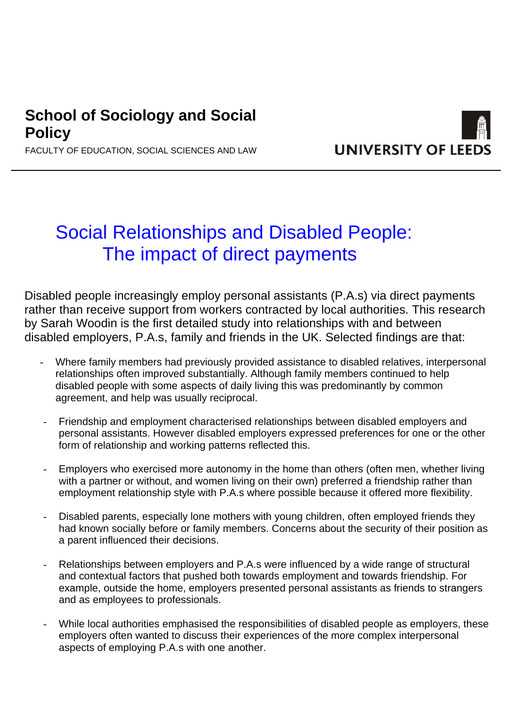# **School of Sociology and Social Policy**



# **UNIVERSITY OF LEED**

# Social Relationships and Disabled People: The impact of direct payments

Disabled people increasingly employ personal assistants (P.A.s) via direct payments rather than receive support from workers contracted by local authorities. This research by Sarah Woodin is the first detailed study into relationships with and between disabled employers, P.A.s, family and friends in the UK. Selected findings are that:

- Where family members had previously provided assistance to disabled relatives, interpersonal relationships often improved substantially. Although family members continued to help disabled people with some aspects of daily living this was predominantly by common agreement, and help was usually reciprocal.
- Friendship and employment characterised relationships between disabled employers and personal assistants. However disabled employers expressed preferences for one or the other form of relationship and working patterns reflected this.
- Employers who exercised more autonomy in the home than others (often men, whether living with a partner or without, and women living on their own) preferred a friendship rather than employment relationship style with P.A.s where possible because it offered more flexibility.
- Disabled parents, especially lone mothers with young children, often employed friends they had known socially before or family members. Concerns about the security of their position as a parent influenced their decisions.
- Relationships between employers and P.A.s were influenced by a wide range of structural and contextual factors that pushed both towards employment and towards friendship. For example, outside the home, employers presented personal assistants as friends to strangers and as employees to professionals.
- While local authorities emphasised the responsibilities of disabled people as employers, these employers often wanted to discuss their experiences of the more complex interpersonal aspects of employing P.A.s with one another.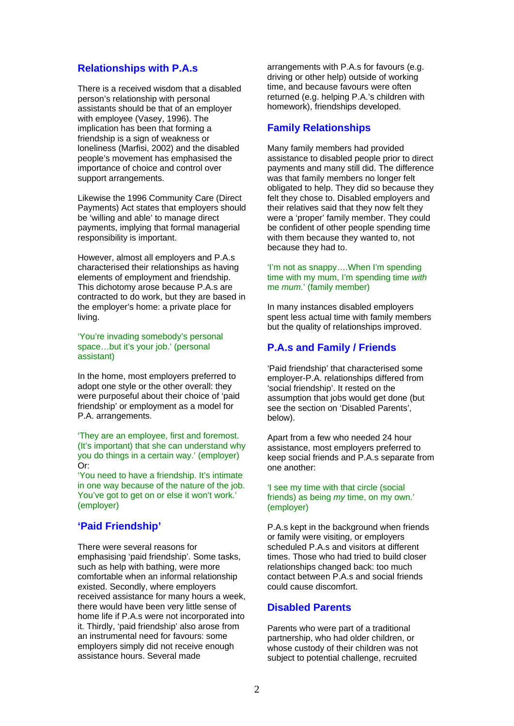# **Relationships with P.A.s**

There is a received wisdom that a disabled person's relationship with personal assistants should be that of an employer with employee (Vasey, 1996). The implication has been that forming a friendship is a sign of weakness or loneliness (Marfisi, 2002) and the disabled people's movement has emphasised the importance of choice and control over support arrangements.

Likewise the 1996 Community Care (Direct Payments) Act states that employers should be 'willing and able' to manage direct payments, implying that formal managerial responsibility is important.

However, almost all employers and P.A.s characterised their relationships as having elements of employment and friendship. This dichotomy arose because P.A.s are contracted to do work, but they are based in the employer's home: a private place for living.

'You're invading somebody's personal space…but it's your job.' (personal assistant)

In the home, most employers preferred to adopt one style or the other overall: they were purposeful about their choice of 'paid friendship' or employment as a model for P.A. arrangements.

'They are an employee, first and foremost. (It's important) that she can understand why you do things in a certain way.' (employer) Or:

'You need to have a friendship. It's intimate in one way because of the nature of the job. You've got to get on or else it won't work.' (employer)

# **'Paid Friendship'**

There were several reasons for emphasising 'paid friendship'. Some tasks, such as help with bathing, were more comfortable when an informal relationship existed. Secondly, where employers received assistance for many hours a week, there would have been very little sense of home life if P.A.s were not incorporated into it. Thirdly, 'paid friendship' also arose from an instrumental need for favours: some employers simply did not receive enough assistance hours. Several made

arrangements with P.A.s for favours (e.g. driving or other help) outside of working time, and because favours were often returned (e.g. helping P.A.'s children with homework), friendships developed.

# **Family Relationships**

Many family members had provided assistance to disabled people prior to direct payments and many still did. The difference was that family members no longer felt obligated to help. They did so because they felt they chose to. Disabled employers and their relatives said that they now felt they were a 'proper' family member. They could be confident of other people spending time with them because they wanted to, not because they had to.

#### 'I'm not as snappy….When I'm spending time with my mum, I'm spending time *with* me *mum*.' (family member)

In many instances disabled employers spent less actual time with family members but the quality of relationships improved.

## **P.A.s and Family / Friends**

'Paid friendship' that characterised some employer-P.A. relationships differed from 'social friendship'. It rested on the assumption that jobs would get done (but see the section on 'Disabled Parents', below).

Apart from a few who needed 24 hour assistance, most employers preferred to keep social friends and P.A.s separate from one another:

#### 'I see my time with that circle (social friends) as being *my* time, on my own.' (employer)

P.A.s kept in the background when friends or family were visiting, or employers scheduled P.A.s and visitors at different times. Those who had tried to build closer relationships changed back: too much contact between P.A.s and social friends could cause discomfort.

### **Disabled Parents**

Parents who were part of a traditional partnership, who had older children, or whose custody of their children was not subject to potential challenge, recruited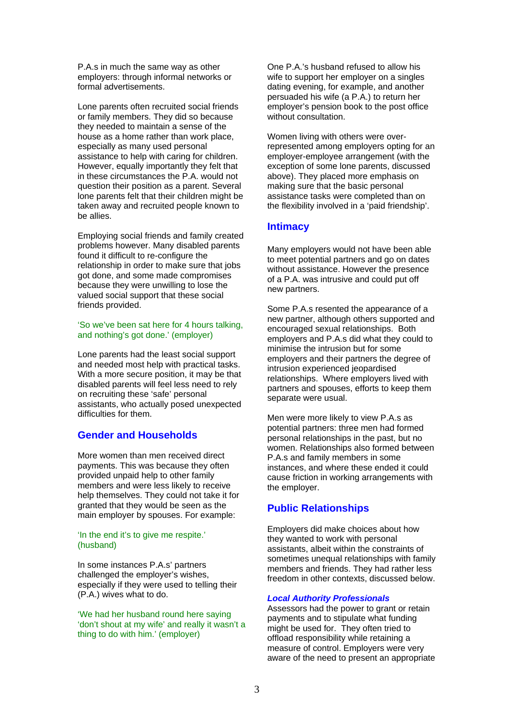P.A.s in much the same way as other employers: through informal networks or formal advertisements.

Lone parents often recruited social friends or family members. They did so because they needed to maintain a sense of the house as a home rather than work place, especially as many used personal assistance to help with caring for children. However, equally importantly they felt that in these circumstances the P.A. would not question their position as a parent. Several lone parents felt that their children might be taken away and recruited people known to be allies.

Employing social friends and family created problems however. Many disabled parents found it difficult to re-configure the relationship in order to make sure that jobs got done, and some made compromises because they were unwilling to lose the valued social support that these social friends provided.

#### 'So we've been sat here for 4 hours talking, and nothing's got done.' (employer)

Lone parents had the least social support and needed most help with practical tasks. With a more secure position, it may be that disabled parents will feel less need to rely on recruiting these 'safe' personal assistants, who actually posed unexpected difficulties for them.

# **Gender and Households**

More women than men received direct payments. This was because they often provided unpaid help to other family members and were less likely to receive help themselves. They could not take it for granted that they would be seen as the main employer by spouses. For example:

#### 'In the end it's to give me respite.' (husband)

In some instances P.A.s' partners challenged the employer's wishes, especially if they were used to telling their (P.A.) wives what to do.

'We had her husband round here saying 'don't shout at my wife' and really it wasn't a thing to do with him.' (employer)

One P.A.'s husband refused to allow his wife to support her employer on a singles dating evening, for example, and another persuaded his wife (a P.A.) to return her employer's pension book to the post office without consultation.

Women living with others were overrepresented among employers opting for an employer-employee arrangement (with the exception of some lone parents, discussed above). They placed more emphasis on making sure that the basic personal assistance tasks were completed than on the flexibility involved in a 'paid friendship'.

# **Intimacy**

Many employers would not have been able to meet potential partners and go on dates without assistance. However the presence of a P.A. was intrusive and could put off new partners.

Some P.A.s resented the appearance of a new partner, although others supported and encouraged sexual relationships. Both employers and P.A.s did what they could to minimise the intrusion but for some employers and their partners the degree of intrusion experienced jeopardised relationships. Where employers lived with partners and spouses, efforts to keep them separate were usual.

Men were more likely to view P.A.s as potential partners: three men had formed personal relationships in the past, but no women. Relationships also formed between P.A.s and family members in some instances, and where these ended it could cause friction in working arrangements with the employer.

# **Public Relationships**

Employers did make choices about how they wanted to work with personal assistants, albeit within the constraints of sometimes unequal relationships with family members and friends. They had rather less freedom in other contexts, discussed below.

#### *Local Authority Professionals*

Assessors had the power to grant or retain payments and to stipulate what funding might be used for. They often tried to offload responsibility while retaining a measure of control. Employers were very aware of the need to present an appropriate